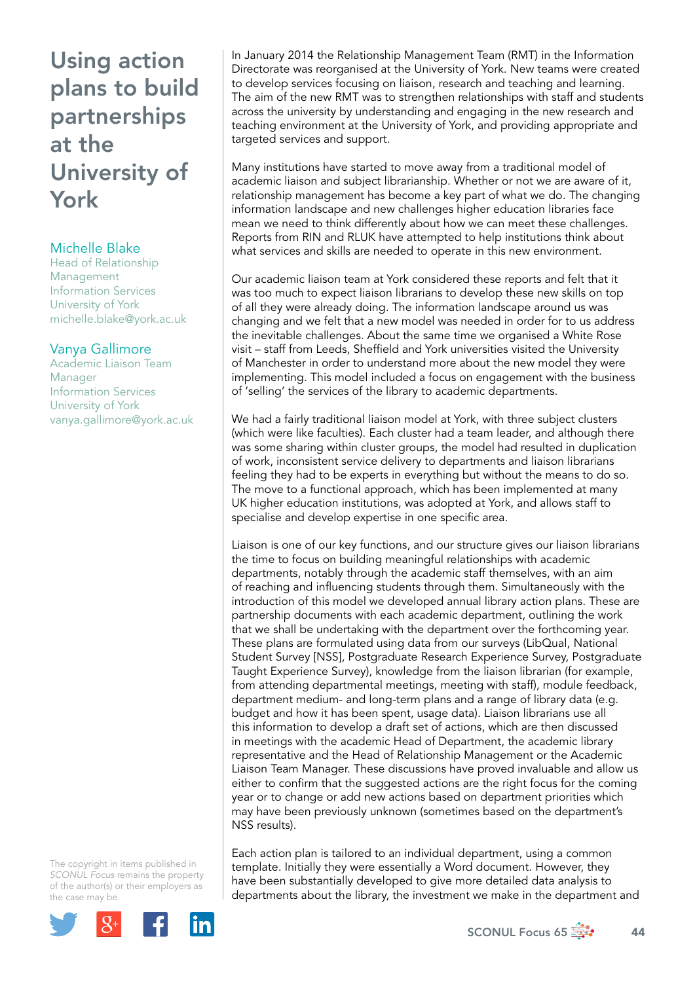## Using action plans to build partnerships at the University of York

## Michelle Blake

Head of Relationship Management Information Services University of York [michelle.blake@york.ac.uk](mailto:michelle.blake@york.ac.uk) 

## Vanya Gallimore

Academic Liaison Team Manager Information Services University of York [vanya.gallimore@york.ac.uk](mailto:vanya.gallimore@york.ac.uk) 

The copyright in items published in *SCONUL Focus* remains the property of the author(s) or their employers as the case may be.



In January 2014 the Relationship Management Team (RMT) in the Information Directorate was reorganised at the University of York. New teams were created to develop services focusing on liaison, research and teaching and learning. The aim of the new RMT was to strengthen relationships with staff and students across the university by understanding and engaging in the new research and teaching environment at the University of York, and providing appropriate and targeted services and support.

Many institutions have started to move away from a traditional model of academic liaison and subject librarianship. Whether or not we are aware of it, relationship management has become a key part of what we do. The changing information landscape and new challenges higher education libraries face mean we need to think differently about how we can meet these challenges. Reports from RIN and RLUK have attempted to help institutions think about what services and skills are needed to operate in this new environment.

Our academic liaison team at York considered these reports and felt that it was too much to expect liaison librarians to develop these new skills on top of all they were already doing. The information landscape around us was changing and we felt that a new model was needed in order for to us address the inevitable challenges. About the same time we organised a White Rose visit – staff from Leeds, Sheffield and York universities visited the University of Manchester in order to understand more about the new model they were implementing. This model included a focus on engagement with the business of 'selling' the services of the library to academic departments.

We had a fairly traditional liaison model at York, with three subject clusters (which were like faculties). Each cluster had a team leader, and although there was some sharing within cluster groups, the model had resulted in duplication of work, inconsistent service delivery to departments and liaison librarians feeling they had to be experts in everything but without the means to do so. The move to a functional approach, which has been implemented at many UK higher education institutions, was adopted at York, and allows staff to specialise and develop expertise in one specific area.

Liaison is one of our key functions, and our structure gives our liaison librarians the time to focus on building meaningful relationships with academic departments, notably through the academic staff themselves, with an aim of reaching and influencing students through them. Simultaneously with the introduction of this model we developed annual library action plans. These are partnership documents with each academic department, outlining the work that we shall be undertaking with the department over the forthcoming year. These plans are formulated using data from our surveys (LibQual, National Student Survey [NSS], Postgraduate Research Experience Survey, Postgraduate Taught Experience Survey), knowledge from the liaison librarian (for example, from attending departmental meetings, meeting with staff), module feedback, department medium- and long-term plans and a range of library data (e.g. budget and how it has been spent, usage data). Liaison librarians use all this information to develop a draft set of actions, which are then discussed in meetings with the academic Head of Department, the academic library representative and the Head of Relationship Management or the Academic Liaison Team Manager. These discussions have proved invaluable and allow us either to confirm that the suggested actions are the right focus for the coming year or to change or add new actions based on department priorities which may have been previously unknown (sometimes based on the department's NSS results).

Each action plan is tailored to an individual department, using a common template. Initially they were essentially a Word document. However, they have been substantially developed to give more detailed data analysis to departments about the library, the investment we make in the department and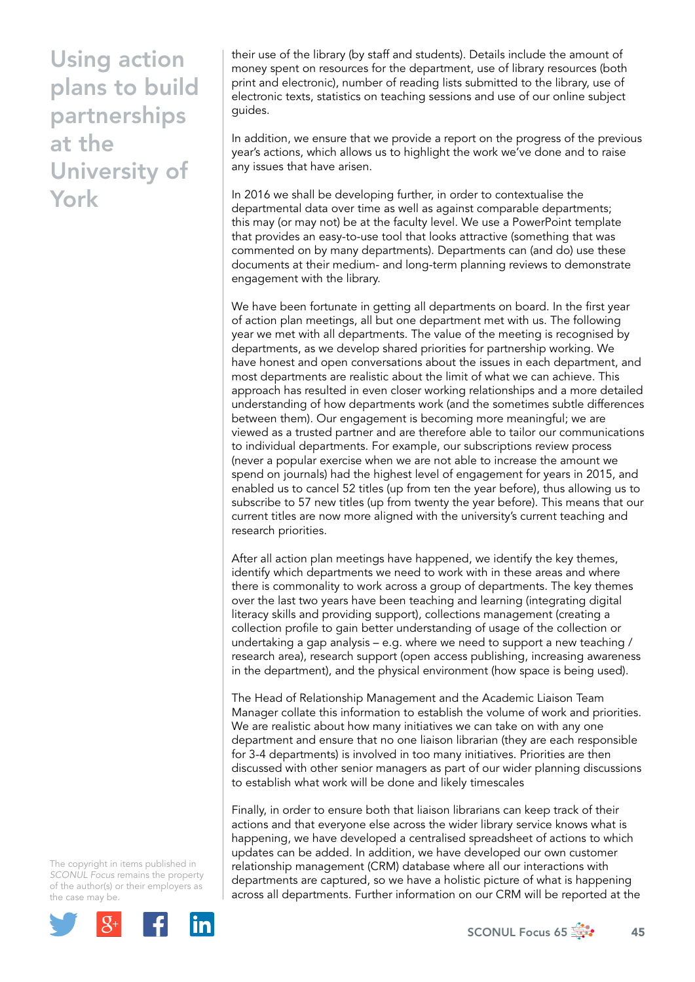## Using action plans to build partnerships at the University of York

their use of the library (by staff and students). Details include the amount of money spent on resources for the department, use of library resources (both print and electronic), number of reading lists submitted to the library, use of electronic texts, statistics on teaching sessions and use of our online subject guides.

In addition, we ensure that we provide a report on the progress of the previous year's actions, which allows us to highlight the work we've done and to raise any issues that have arisen.

In 2016 we shall be developing further, in order to contextualise the departmental data over time as well as against comparable departments; this may (or may not) be at the faculty level. We use a PowerPoint template that provides an easy-to-use tool that looks attractive (something that was commented on by many departments). Departments can (and do) use these documents at their medium- and long-term planning reviews to demonstrate engagement with the library.

We have been fortunate in getting all departments on board. In the first year of action plan meetings, all but one department met with us. The following year we met with all departments. The value of the meeting is recognised by departments, as we develop shared priorities for partnership working. We have honest and open conversations about the issues in each department, and most departments are realistic about the limit of what we can achieve. This approach has resulted in even closer working relationships and a more detailed understanding of how departments work (and the sometimes subtle differences between them). Our engagement is becoming more meaningful; we are viewed as a trusted partner and are therefore able to tailor our communications to individual departments. For example, our subscriptions review process (never a popular exercise when we are not able to increase the amount we spend on journals) had the highest level of engagement for years in 2015, and enabled us to cancel 52 titles (up from ten the year before), thus allowing us to subscribe to 57 new titles (up from twenty the year before). This means that our current titles are now more aligned with the university's current teaching and research priorities.

After all action plan meetings have happened, we identify the key themes, identify which departments we need to work with in these areas and where there is commonality to work across a group of departments. The key themes over the last two years have been teaching and learning (integrating digital literacy skills and providing support), collections management (creating a collection profile to gain better understanding of usage of the collection or undertaking a gap analysis – e.g. where we need to support a new teaching / research area), research support (open access publishing, increasing awareness in the department), and the physical environment (how space is being used).

The Head of Relationship Management and the Academic Liaison Team Manager collate this information to establish the volume of work and priorities. We are realistic about how many initiatives we can take on with any one department and ensure that no one liaison librarian (they are each responsible for 3-4 departments) is involved in too many initiatives. Priorities are then discussed with other senior managers as part of our wider planning discussions to establish what work will be done and likely timescales

Finally, in order to ensure both that liaison librarians can keep track of their actions and that everyone else across the wider library service knows what is happening, we have developed a centralised spreadsheet of actions to which updates can be added. In addition, we have developed our own customer relationship management (CRM) database where all our interactions with departments are captured, so we have a holistic picture of what is happening across all departments. Further information on our CRM will be reported at the

The copyright in items published in *SCONUL Focus* remains the property of the author(s) or their employers as the case may be.